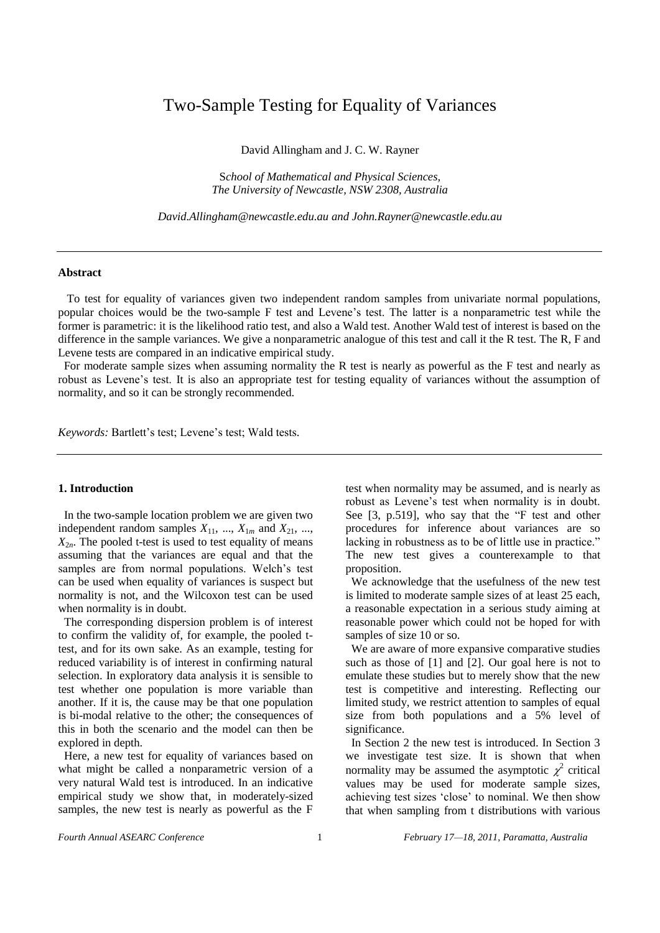# Two-Sample Testing for Equality of Variances

David Allingham and J. C. W. Rayner

S*chool of Mathematical and Physical Sciences, The University of Newcastle, NSW 2308, Australia*

*[David.Allingham@newcastle.edu.au](mailto:David.Allingham@newcastle.edu.au) an[d John.Rayner@newcastle.edu.au](mailto:John.Rayner@newcastle.edu.au)*

### **Abstract**

 To test for equality of variances given two independent random samples from univariate normal populations, popular choices would be the two-sample F test and Levene"s test. The latter is a nonparametric test while the former is parametric: it is the likelihood ratio test, and also a Wald test. Another Wald test of interest is based on the difference in the sample variances. We give a nonparametric analogue of this test and call it the R test. The R, F and Levene tests are compared in an indicative empirical study.

 For moderate sample sizes when assuming normality the R test is nearly as powerful as the F test and nearly as robust as Levene"s test. It is also an appropriate test for testing equality of variances without the assumption of normality, and so it can be strongly recommended.

Keywords: Bartlett's test; Levene's test; Wald tests.

### **1. Introduction**

 In the two-sample location problem we are given two independent random samples  $X_{11}$ , ...,  $X_{1m}$  and  $X_{21}$ , ...,  $X_{2n}$ . The pooled t-test is used to test equality of means assuming that the variances are equal and that the samples are from normal populations. Welch's test can be used when equality of variances is suspect but normality is not, and the Wilcoxon test can be used when normality is in doubt.

 The corresponding dispersion problem is of interest to confirm the validity of, for example, the pooled ttest, and for its own sake. As an example, testing for reduced variability is of interest in confirming natural selection. In exploratory data analysis it is sensible to test whether one population is more variable than another. If it is, the cause may be that one population is bi-modal relative to the other; the consequences of this in both the scenario and the model can then be explored in depth.

 Here, a new test for equality of variances based on what might be called a nonparametric version of a very natural Wald test is introduced. In an indicative empirical study we show that, in moderately-sized samples, the new test is nearly as powerful as the F

test when normality may be assumed, and is nearly as robust as Levene"s test when normality is in doubt. See [3, p.519], who say that the "F test and other procedures for inference about variances are so lacking in robustness as to be of little use in practice." The new test gives a counterexample to that proposition.

 We acknowledge that the usefulness of the new test is limited to moderate sample sizes of at least 25 each, a reasonable expectation in a serious study aiming at reasonable power which could not be hoped for with samples of size 10 or so.

 We are aware of more expansive comparative studies such as those of [1] and [2]. Our goal here is not to emulate these studies but to merely show that the new test is competitive and interesting. Reflecting our limited study, we restrict attention to samples of equal size from both populations and a 5% level of significance.

 In Section 2 the new test is introduced. In Section 3 we investigate test size. It is shown that when normality may be assumed the asymptotic  $\chi^2$  critical values may be used for moderate sample sizes, achieving test sizes "close" to nominal. We then show that when sampling from t distributions with various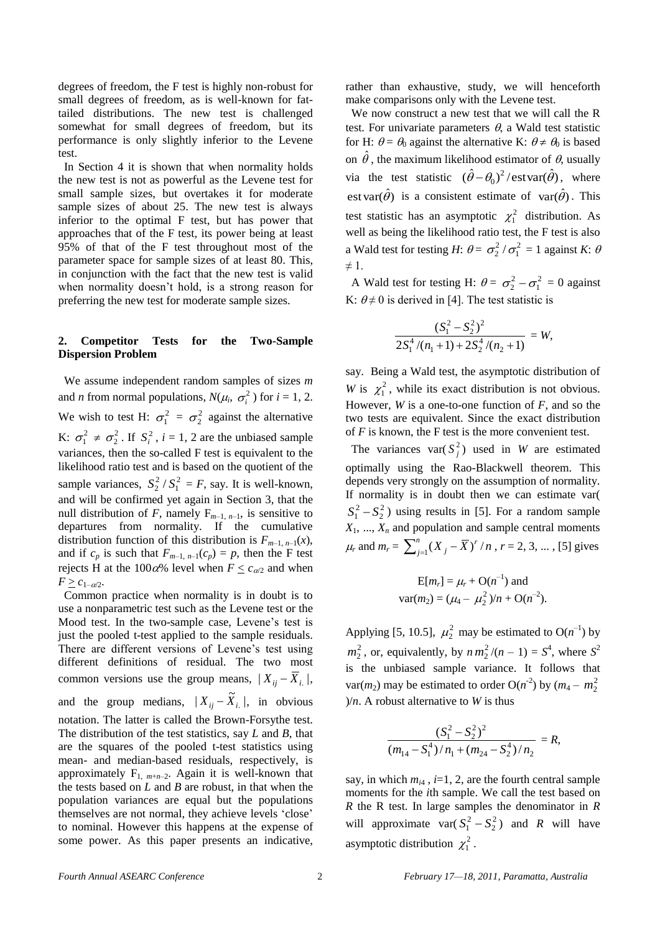degrees of freedom, the F test is highly non-robust for small degrees of freedom, as is well-known for fattailed distributions. The new test is challenged somewhat for small degrees of freedom, but its performance is only slightly inferior to the Levene test.

 In Section 4 it is shown that when normality holds the new test is not as powerful as the Levene test for small sample sizes, but overtakes it for moderate sample sizes of about 25. The new test is always inferior to the optimal F test, but has power that approaches that of the F test, its power being at least 95% of that of the F test throughout most of the parameter space for sample sizes of at least 80. This, in conjunction with the fact that the new test is valid when normality doesn"t hold, is a strong reason for preferring the new test for moderate sample sizes.

# **2. Competitor Tests for the Two-Sample Dispersion Problem**

 We assume independent random samples of sizes *m* and *n* from normal populations,  $N(\mu_i, \sigma_i^2)$  for  $i = 1, 2$ . We wish to test H:  $\sigma_1^2 = \sigma_2^2$  against the alternative K:  $\sigma_1^2 \neq \sigma_2^2$ . If  $S_i^2$ ,  $i = 1, 2$  are the unbiased sample variances, then the so-called F test is equivalent to the likelihood ratio test and is based on the quotient of the sample variances,  $S_2^2 / S_1^2 = F$ , say. It is well-known, and will be confirmed yet again in Section 3, that the null distribution of *F*, namely  $F_{m-1, n-1}$ , is sensitive to departures from normality. If the cumulative distribution function of this distribution is  $F_{m-1,n-1}(x)$ , and if  $c_p$  is such that  $F_{m-1, n-1}(c_p) = p$ , then the F test rejects H at the 100 $\alpha$ % level when  $F \leq c_{\alpha/2}$  and when  $F \geq c_{1-\alpha/2}$ .

 Common practice when normality is in doubt is to use a nonparametric test such as the Levene test or the Mood test. In the two-sample case, Levene"s test is just the pooled t-test applied to the sample residuals. There are different versions of Levene's test using different definitions of residual. The two most common versions use the group means,  $|X_{ij} - \overline{X}_{i.}|$ , and the group medians,  $|X_{ij} - \tilde{X}_{i.}|$ , in obvious notation. The latter is called the Brown-Forsythe test. The distribution of the test statistics, say *L* and *B*, that are the squares of the pooled t-test statistics using mean- and median-based residuals, respectively, is approximately  $F_{1, m+n-2}$ . Again it is well-known that the tests based on *L* and *B* are robust, in that when the population variances are equal but the populations themselves are not normal, they achieve levels "close" to nominal. However this happens at the expense of some power. As this paper presents an indicative,

rather than exhaustive, study, we will henceforth make comparisons only with the Levene test.

 We now construct a new test that we will call the R test. For univariate parameters  $\theta$ , a Wald test statistic for H:  $\theta = \theta_0$  against the alternative K:  $\theta \neq \theta_0$  is based on  $\hat{\theta}$ , the maximum likelihood estimator of  $\theta$ , usually via the test statistic  $(\hat{\theta} - \theta_0)^2 / \text{estvar}(\hat{\theta})$ , where est var $(\hat{\theta})$  is a consistent estimate of var $(\hat{\theta})$ . This test statistic has an asymptotic  $\chi_1^2$  distribution. As well as being the likelihood ratio test, the F test is also a Wald test for testing *H*:  $\theta = \sigma_2^2 / \sigma_1^2 = 1$  against *K*:  $\theta$  $\neq$  1.

A Wald test for testing H:  $\theta = \sigma_2^2 - \sigma_1^2 = 0$  against K:  $\theta \neq 0$  is derived in [4]. The test statistic is

$$
\frac{(S_1^2 - S_2^2)^2}{2S_1^4/(n_1 + 1) + 2S_2^4/(n_2 + 1)} = W,
$$

say. Being a Wald test, the asymptotic distribution of *W* is  $\chi_1^2$ , while its exact distribution is not obvious. However, *W* is a one-to-one function of *F*, and so the two tests are equivalent. Since the exact distribution of *F* is known, the F test is the more convenient test.

The variances var $(S_j^2)$  used in *W* are estimated optimally using the Rao-Blackwell theorem. This depends very strongly on the assumption of normality. If normality is in doubt then we can estimate var(  $S_1^2 - S_2^2$ ) using results in [5]. For a random sample  $X_1$ , ...,  $X_n$  and population and sample central moments  $\mu_r$  and  $m_r = \sum_{j=1}^n (X_j \frac{1}{j=1}(X_j - \overline{X})^r/n$  ,  $r = 2, 3, ...$  , [5] gives

$$
E[m_r] = \mu_r + O(n^{-1}) \text{ and}
$$
  
var $(m_2) = (\mu_4 - \mu_2^2)/n + O(n^{-2}).$ 

Applying [5, 10.5],  $\mu_2^2$  may be estimated to O( $n^{-1}$ ) by  $m_2^2$ , or, equivalently, by  $n m_2^2/(n-1) = S^4$ , where  $S^2$ is the unbiased sample variance. It follows that var(*m*<sub>2</sub>) may be estimated to order O(*n*<sup>-2</sup>) by (*m*<sub>4</sub> – *m*<sub>2</sub><sup>2</sup>)  $\frac{1}{n}$ . A robust alternative to *W* is thus

$$
\frac{(S_1^2 - S_2^2)^2}{(m_{14} - S_1^4)/n_1 + (m_{24} - S_2^4)/n_2} = R,
$$

say, in which  $m_{i4}$ ,  $i=1, 2$ , are the fourth central sample moments for the *i*th sample. We call the test based on *R* the R test. In large samples the denominator in *R* will approximate var( $S_1^2 - S_2^2$ ) and *R* will have asymptotic distribution  $\chi_1^2$ .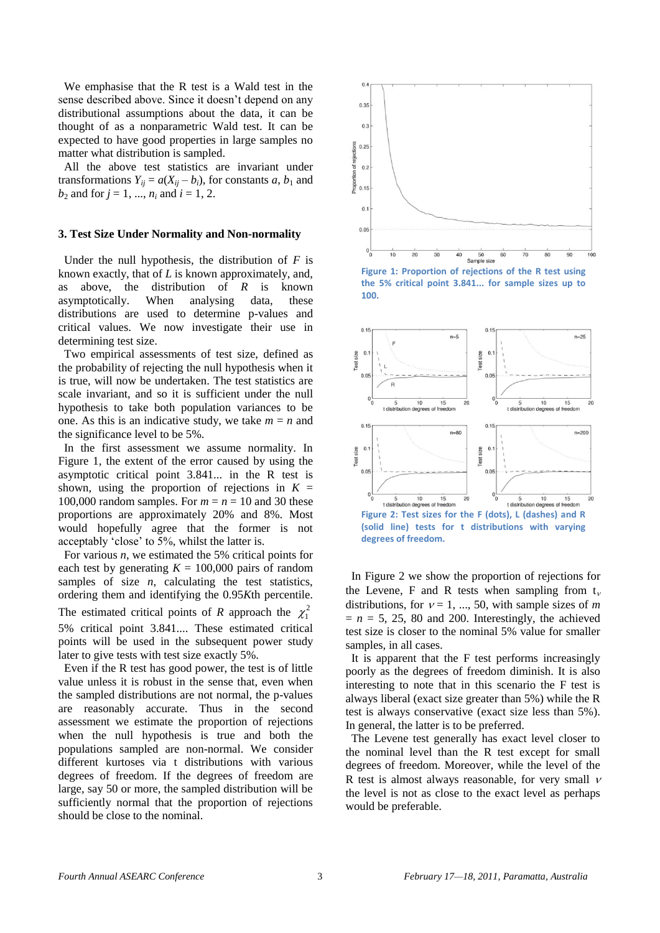We emphasise that the R test is a Wald test in the sense described above. Since it doesn't depend on any distributional assumptions about the data, it can be thought of as a nonparametric Wald test. It can be expected to have good properties in large samples no matter what distribution is sampled.

 All the above test statistics are invariant under transformations  $Y_{ij} = a(X_{ij} - b_i)$ , for constants *a*,  $b_1$  and  $b_2$  and for  $j = 1, ..., n_i$  and  $i = 1, 2$ .

## **3. Test Size Under Normality and Non-normality**

Under the null hypothesis, the distribution of  $F$  is known exactly, that of *L* is known approximately, and, as above, the distribution of *R* is known asymptotically. When analysing data, these distributions are used to determine p-values and critical values. We now investigate their use in determining test size.

 Two empirical assessments of test size, defined as the probability of rejecting the null hypothesis when it is true, will now be undertaken. The test statistics are scale invariant, and so it is sufficient under the null hypothesis to take both population variances to be one. As this is an indicative study, we take  $m = n$  and the significance level to be 5%.

 In the first assessment we assume normality. In Figure 1, the extent of the error caused by using the asymptotic critical point 3.841... in the R test is shown, using the proportion of rejections in  $K =$ 100,000 random samples. For  $m = n = 10$  and 30 these proportions are approximately 20% and 8%. Most would hopefully agree that the former is not acceptably "close" to 5%, whilst the latter is.

 For various *n*, we estimated the 5% critical points for each test by generating  $K = 100,000$  pairs of random samples of size  $n$ , calculating the test statistics, ordering them and identifying the 0.95*K*th percentile. The estimated critical points of *R* approach the  $\chi_1^2$ 5% critical point 3.841.... These estimated critical

points will be used in the subsequent power study later to give tests with test size exactly 5%.

 Even if the R test has good power, the test is of little value unless it is robust in the sense that, even when the sampled distributions are not normal, the p-values are reasonably accurate. Thus in the second assessment we estimate the proportion of rejections when the null hypothesis is true and both the populations sampled are non-normal. We consider different kurtoses via t distributions with various degrees of freedom. If the degrees of freedom are large, say 50 or more, the sampled distribution will be sufficiently normal that the proportion of rejections should be close to the nominal.



**Figure 1: Proportion of rejections of the R test using the 5% critical point 3.841... for sample sizes up to 100.**



**Figure 2: Test sizes for the F (dots), L (dashes) and R (solid line) tests for t distributions with varying degrees of freedom.**

 In Figure 2 we show the proportion of rejections for the Levene, F and R tests when sampling from  $t_{\nu}$ distributions, for  $v = 1, ..., 50$ , with sample sizes of *m*  $= n = 5, 25, 80,$  and 200. Interestingly, the achieved test size is closer to the nominal 5% value for smaller samples, in all cases.

 It is apparent that the F test performs increasingly poorly as the degrees of freedom diminish. It is also interesting to note that in this scenario the F test is always liberal (exact size greater than 5%) while the R test is always conservative (exact size less than 5%). In general, the latter is to be preferred.

 The Levene test generally has exact level closer to the nominal level than the R test except for small degrees of freedom. Moreover, while the level of the R test is almost always reasonable, for very small  $\nu$ the level is not as close to the exact level as perhaps would be preferable.